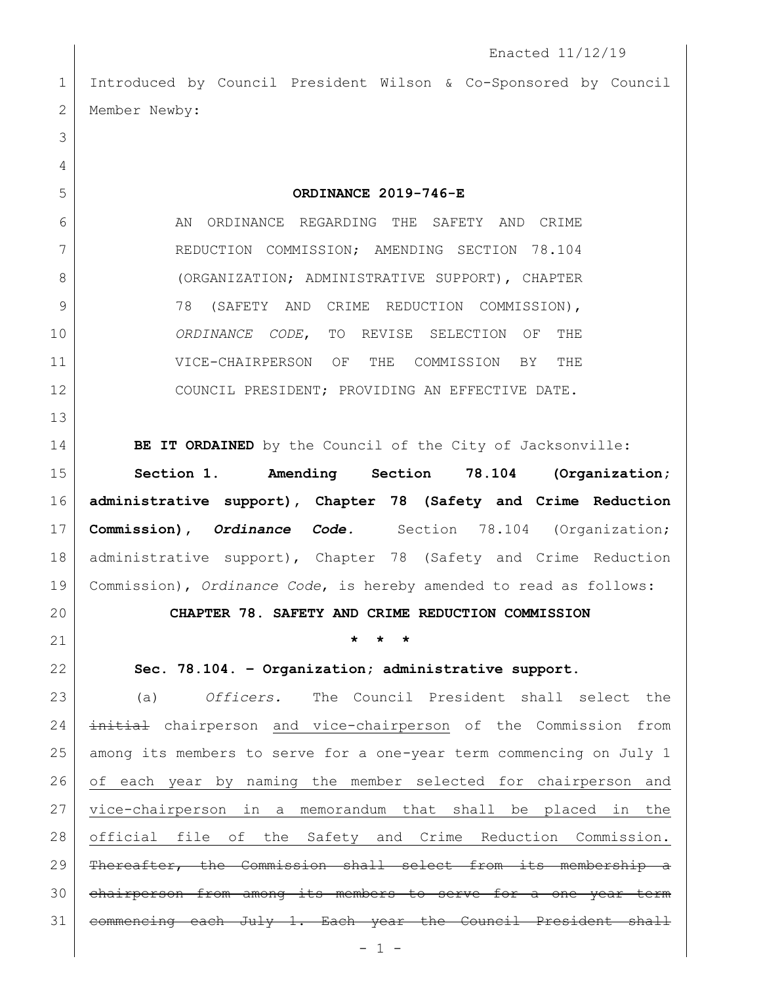Introduced by Council President Wilson & Co-Sponsored by Council 2 Member Newby:

**ORDINANCE 2019-746-E**

6 AN ORDINANCE REGARDING THE SAFETY AND CRIME REDUCTION COMMISSION; AMENDING SECTION 78.104 8 (ORGANIZATION; ADMINISTRATIVE SUPPORT), CHAPTER 9 78 (SAFETY AND CRIME REDUCTION COMMISSION), *ORDINANCE CODE*, TO REVISE SELECTION OF THE VICE-CHAIRPERSON OF THE COMMISSION BY THE 12 COUNCIL PRESIDENT; PROVIDING AN EFFECTIVE DATE.

**BE IT ORDAINED** by the Council of the City of Jacksonville:

 **Section 1**. **Amending Section 78.104 (Organization; administrative support), Chapter 78 (Safety and Crime Reduction Commission),** *Ordinance Code.* Section 78.104 (Organization; administrative support), Chapter 78 (Safety and Crime Reduction Commission), *Ordinance Code*, is hereby amended to read as follows:

**CHAPTER 78. SAFETY AND CRIME REDUCTION COMMISSION**

## **\* \* \***

**Sec. 78.104. – Organization; administrative support.** 

 (a) *Officers.* The Council President shall select the 24 initial chairperson and vice-chairperson of the Commission from among its members to serve for a one-year term commencing on July 1 of each year by naming the member selected for chairperson and vice-chairperson in a memorandum that shall be placed in the official file of the Safety and Crime Reduction Commission. 29 | Thereafter, the Commission shall select from its membership a 30 chairperson from among its members to serve for a one year term 31 | commencing each July 1. Each year the Council President shall